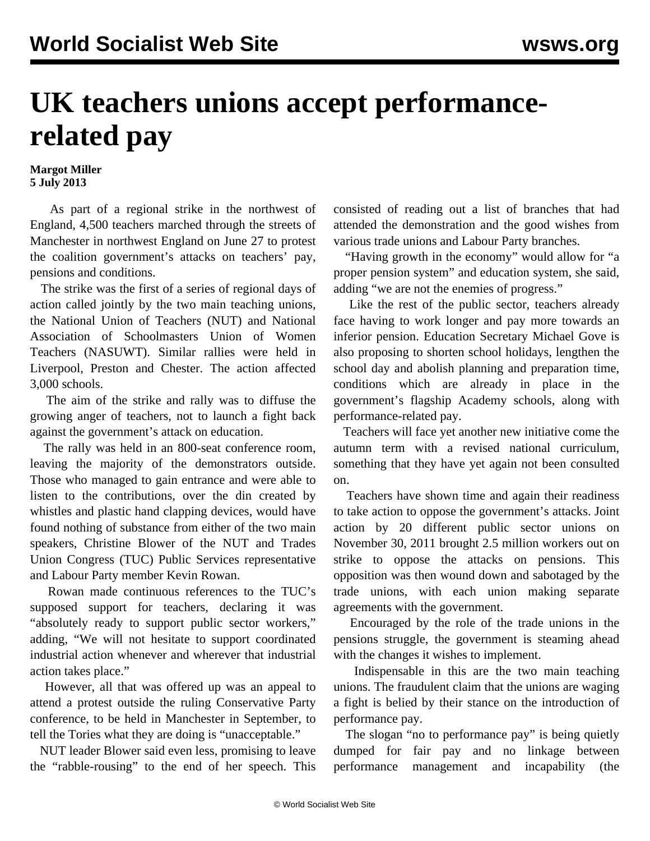## **UK teachers unions accept performancerelated pay**

## **Margot Miller 5 July 2013**

 As part of a regional strike in the northwest of England, 4,500 teachers marched through the streets of Manchester in northwest England on June 27 to protest the coalition government's attacks on teachers' pay, pensions and conditions.

 The strike was the first of a series of regional days of action called jointly by the two main teaching unions, the National Union of Teachers (NUT) and National Association of Schoolmasters Union of Women Teachers (NASUWT). Similar rallies were held in Liverpool, Preston and Chester. The action affected 3,000 schools.

 The aim of the strike and rally was to diffuse the growing anger of teachers, not to launch a fight back against the government's attack on education.

 The rally was held in an 800-seat conference room, leaving the majority of the demonstrators outside. Those who managed to gain entrance and were able to listen to the contributions, over the din created by whistles and plastic hand clapping devices, would have found nothing of substance from either of the two main speakers, Christine Blower of the NUT and Trades Union Congress (TUC) Public Services representative and Labour Party member Kevin Rowan.

 Rowan made continuous references to the TUC's supposed support for teachers, declaring it was "absolutely ready to support public sector workers," adding, "We will not hesitate to support coordinated industrial action whenever and wherever that industrial action takes place."

 However, all that was offered up was an appeal to attend a protest outside the ruling Conservative Party conference, to be held in Manchester in September, to tell the Tories what they are doing is "unacceptable."

 NUT leader Blower said even less, promising to leave the "rabble-rousing" to the end of her speech. This

consisted of reading out a list of branches that had attended the demonstration and the good wishes from various trade unions and Labour Party branches.

 "Having growth in the economy" would allow for "a proper pension system" and education system, she said, adding "we are not the enemies of progress."

 Like the rest of the public sector, teachers already face having to work longer and pay more towards an inferior pension. Education Secretary Michael Gove is also proposing to shorten school holidays, lengthen the school day and abolish planning and preparation time, conditions which are already in place in the government's flagship Academy schools, along with performance-related pay.

 Teachers will face yet another new initiative come the autumn term with a revised national curriculum, something that they have yet again not been consulted on.

 Teachers have shown time and again their readiness to take action to oppose the government's attacks. Joint action by 20 different public sector unions on November 30, 2011 brought 2.5 million workers out on strike to oppose the attacks on pensions. This opposition was then wound down and sabotaged by the trade unions, with each union making separate agreements with the government.

 Encouraged by the role of the trade unions in the pensions struggle, the government is steaming ahead with the changes it wishes to implement.

 Indispensable in this are the two main teaching unions. The fraudulent claim that the unions are waging a fight is belied by their stance on the introduction of performance pay.

 The slogan "no to performance pay" is being quietly dumped for fair pay and no linkage between performance management and incapability (the